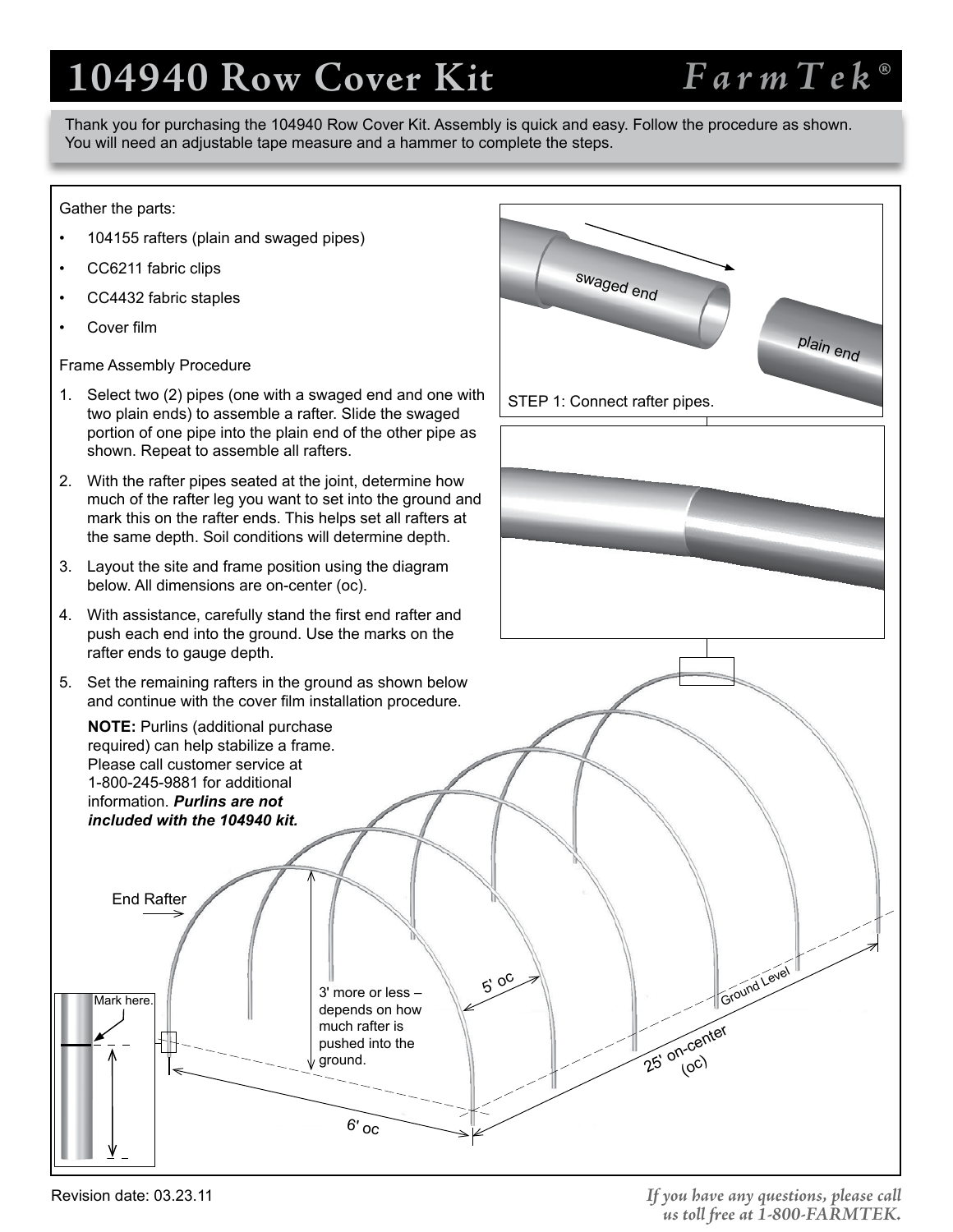# **104940 Row Cover Kit**

## *FarmTek®*

Thank you for purchasing the 104940 Row Cover Kit. Assembly is quick and easy. Follow the procedure as shown. You will need an adjustable tape measure and a hammer to complete the steps.

#### Gather the parts:

- 104155 rafters (plain and swaged pipes)
- CC6211 fabric clips
- CC4432 fabric staples
- Cover film

Frame Assembly Procedure

- 1. Select two (2) pipes (one with a swaged end and one with two plain ends) to assemble a rafter. Slide the swaged portion of one pipe into the plain end of the other pipe as shown. Repeat to assemble all rafters.
- 2. With the rafter pipes seated at the joint, determine how much of the rafter leg you want to set into the ground and mark this on the rafter ends. This helps set all rafters at the same depth. Soil conditions will determine depth.
- 3. Layout the site and frame position using the diagram below. All dimensions are on-center (oc).
- 4. With assistance, carefully stand the first end rafter and push each end into the ground. Use the marks on the rafter ends to gauge depth.
- 5. Set the remaining rafters in the ground as shown below and continue with the cover film installation procedure.